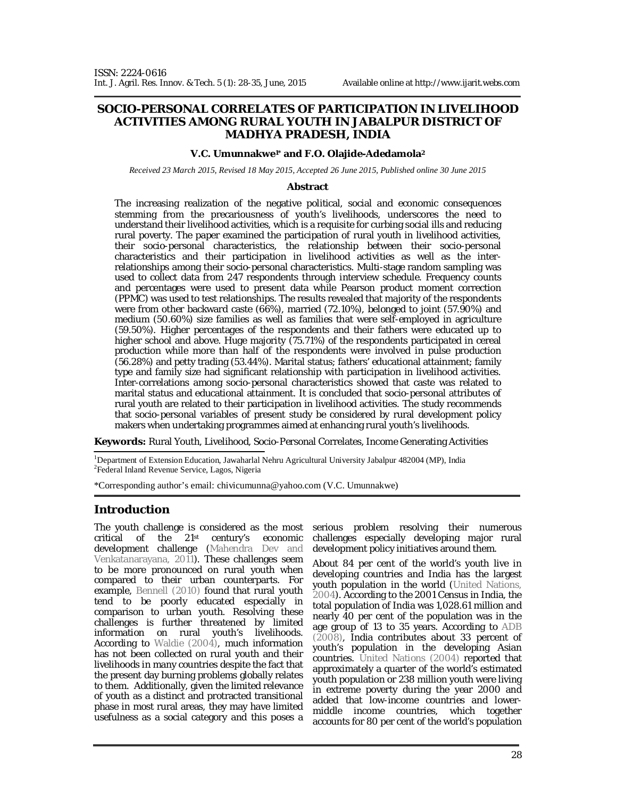### **SOCIO-PERSONAL CORRELATES OF PARTICIPATION IN LIVELIHOOD ACTIVITIES AMONG RURAL YOUTH IN JABALPUR DISTRICT OF MADHYA PRADESH, INDIA**

#### **V.C. Umunnakwe1\* and F.O. Olajide-Adedamola<sup>2</sup>**

*Received 23 March 2015, Revised 18 May 2015, Accepted 26 June 2015, Published online 30 June 2015* 

#### **Abstract**

The increasing realization of the negative political, social and economic consequences stemming from the precariousness of youth's livelihoods, underscores the need to understand their livelihood activities, which is a requisite for curbing social ills and reducing rural poverty. The paper examined the participation of rural youth in livelihood activities, their socio-personal characteristics, the relationship between their socio-personal characteristics and their participation in livelihood activities as well as the interrelationships among their socio-personal characteristics. Multi-stage random sampling was used to collect data from 247 respondents through interview schedule. Frequency counts and percentages were used to present data while Pearson product moment correction (PPMC) was used to test relationships. The results revealed that majority of the respondents were from other backward caste (66%), married (72.10%), belonged to joint (57.90%) and medium (50.60%) size families as well as families that were self-employed in agriculture (59.50%). Higher percentages of the respondents and their fathers were educated up to higher school and above. Huge majority (75.71%) of the respondents participated in cereal production while more than half of the respondents were involved in pulse production (56.28%) and petty trading (53.44%). Marital status; fathers' educational attainment; family type and family size had significant relationship with participation in livelihood activities. Inter-correlations among socio-personal characteristics showed that caste was related to marital status and educational attainment. It is concluded that socio-personal attributes of rural youth are related to their participation in livelihood activities. The study recommends that socio-personal variables of present study be considered by rural development policy makers when undertaking programmes aimed at enhancing rural youth's livelihoods.

**Keywords:** Rural Youth, Livelihood, Socio-Personal Correlates, Income Generating Activities

<sup>1</sup>Department of Extension Education, Jawaharlal Nehru Agricultural University Jabalpur 482004 (MP), India 2 Federal Inland Revenue Service, Lagos, Nigeria

\*Corresponding author's email: chivicumunna@yahoo.com (V.C. Umunnakwe)

## **Introduction**

The youth challenge is considered as the most critical of the 21st century's economic development challenge (Mahendra Dev and Venkatanarayana, 2011). These challenges seem to be more pronounced on rural youth when compared to their urban counterparts. For example, Bennell (2010) found that rural youth tend to be poorly educated especially in comparison to urban youth. Resolving these challenges is further threatened by limited information on rural youth's livelihoods. According to Waldie (2004), much information has not been collected on rural youth and their livelihoods in many countries despite the fact that the present day burning problems globally relates to them. Additionally, given the limited relevance of youth as a distinct and protracted transitional phase in most rural areas, they may have limited usefulness as a social category and this poses a

serious problem resolving their numerous challenges especially developing major rural development policy initiatives around them.

About 84 per cent of the world's youth live in developing countries and India has the largest youth population in the world (United Nations, 2004). According to the 2001 Census in India, the total population of India was 1,028.61 million and nearly 40 per cent of the population was in the age group of 13 to 35 years. According to ADB (2008), India contributes about 33 percent of youth's population in the developing Asian countries. United Nations (2004) reported that approximately a quarter of the world's estimated youth population or 238 million youth were living in extreme poverty during the year 2000 and added that low-income countries and lowermiddle income countries, which together accounts for 80 per cent of the world's population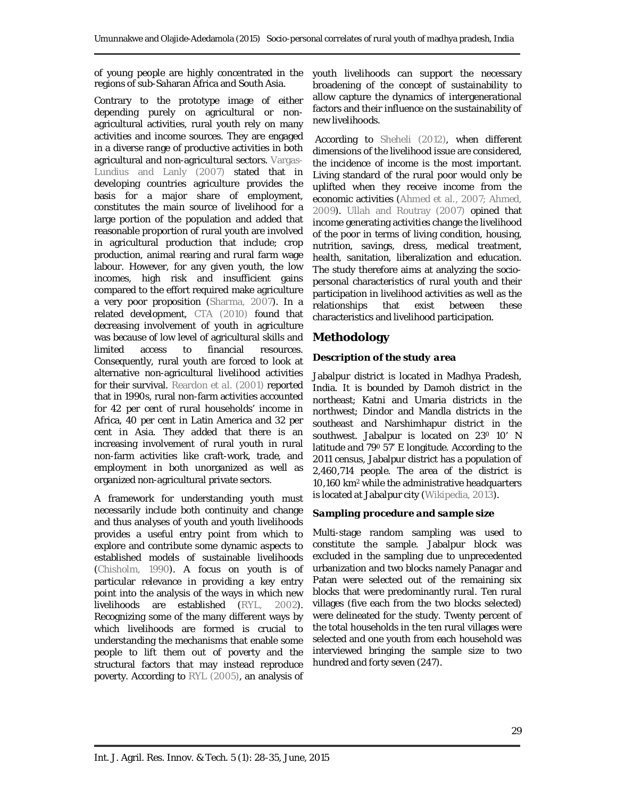of young people are highly concentrated in the regions of sub-Saharan Africa and South Asia.

Contrary to the prototype image of either depending purely on agricultural or nonagricultural activities, rural youth rely on many activities and income sources. They are engaged in a diverse range of productive activities in both agricultural and non-agricultural sectors. Vargas-Lundius and Lanly (2007) stated that in developing countries agriculture provides the basis for a major share of employment, constitutes the main source of livelihood for a large portion of the population and added that reasonable proportion of rural youth are involved in agricultural production that include; crop production, animal rearing and rural farm wage labour. However, for any given youth, the low incomes, high risk and insufficient gains compared to the effort required make agriculture a very poor proposition (Sharma, 2007). In a related development, CTA (2010) found that decreasing involvement of youth in agriculture was because of low level of agricultural skills and limited access to financial resources. Consequently, rural youth are forced to look at alternative non-agricultural livelihood activities for their survival. Reardon *et al.* (2001) reported that in 1990s, rural non-farm activities accounted for 42 per cent of rural households' income in Africa, 40 per cent in Latin America and 32 per cent in Asia. They added that there is an increasing involvement of rural youth in rural non-farm activities like craft-work, trade, and employment in both unorganized as well as organized non-agricultural private sectors.

A framework for understanding youth must necessarily include both continuity and change and thus analyses of youth and youth livelihoods provides a useful entry point from which to explore and contribute some dynamic aspects to established models of sustainable livelihoods (Chisholm, 1990). A focus on youth is of particular relevance in providing a key entry point into the analysis of the ways in which new livelihoods are established (RYL, 2002). Recognizing some of the many different ways by which livelihoods are formed is crucial to understanding the mechanisms that enable some people to lift them out of poverty and the structural factors that may instead reproduce poverty. According to RYL (2005), an analysis of

youth livelihoods can support the necessary broadening of the concept of sustainability to allow capture the dynamics of intergenerational factors and their influence on the sustainability of new livelihoods.

According to Sheheli (2012), when different dimensions of the livelihood issue are considered, the incidence of income is the most important. Living standard of the rural poor would only be uplifted when they receive income from the economic activities (Ahmed *et al*., 2007; Ahmed, 2009). Ullah and Routray (2007) opined that income generating activities change the livelihood of the poor in terms of living condition, housing, nutrition, savings, dress, medical treatment, health, sanitation, liberalization and education. The study therefore aims at analyzing the sociopersonal characteristics of rural youth and their participation in livelihood activities as well as the relationships that exist between these characteristics and livelihood participation.

# **Methodology**

### *Description of the study area*

Jabalpur district is located in Madhya Pradesh, India. It is bounded by Damoh district in the northeast; Katni and Umaria districts in the northwest; Dindor and Mandla districts in the southeast and Narshimhapur district in the southwest. Jabalpur is located on 23º 10' N latitude and 79<sup>0</sup> 57' E longitude. According to the 2011 census, Jabalpur district has a population of 2,460,714 people. The area of the district is 10,160 km<sup>2</sup> while the administrative headquarters is located at Jabalpur city (Wikipedia, 2013).

### *Sampling procedure and sample size*

Multi-stage random sampling was used to constitute the sample. Jabalpur block was excluded in the sampling due to unprecedented urbanization and two blocks namely Panagar and Patan were selected out of the remaining six blocks that were predominantly rural. Ten rural villages (five each from the two blocks selected) were delineated for the study. Twenty percent of the total households in the ten rural villages were selected and one youth from each household was interviewed bringing the sample size to two hundred and forty seven (247).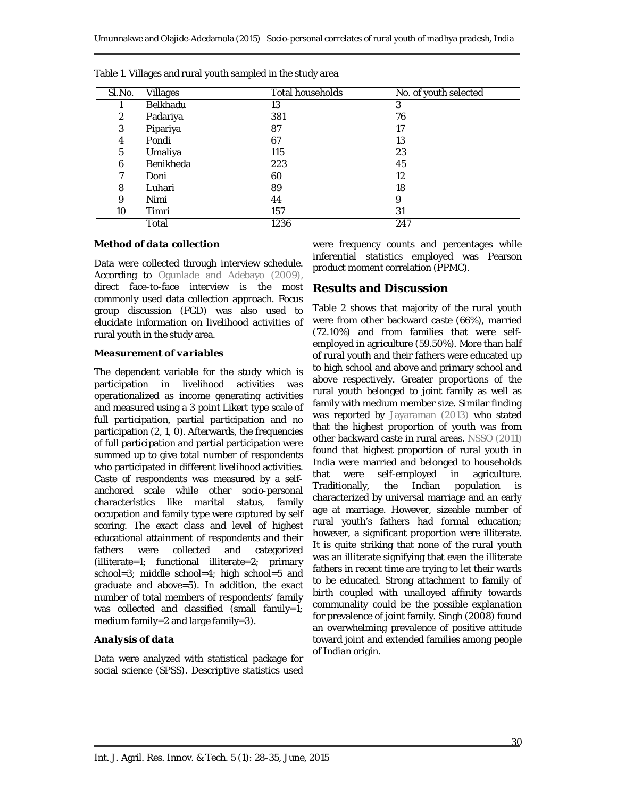| SI.No. | Villages         | <b>Total households</b> | No. of youth selected |
|--------|------------------|-------------------------|-----------------------|
|        | <b>Belkhadu</b>  | 13                      | 3                     |
| 2      | Padariya         | 381                     | 76                    |
| 3      | Pipariya         | 87                      | 17                    |
| 4      | Pondi            | 67                      | 13                    |
| 5      | Umaliya          | 115                     | 23                    |
| 6      | <b>Benikheda</b> | 223                     | 45                    |
|        | Doni             | 60                      | 12                    |
| 8      | Luhari           | 89                      | 18                    |
| 9      | Nimi             | 44                      | 9                     |
| 10     | Timri            | 157                     | 31                    |
|        | Total            | 1236                    | 247                   |

Table 1. Villages and rural youth sampled in the study area

### *Method of data collection*

Data were collected through interview schedule. According to Ogunlade and Adebayo (2009), direct face-to-face interview is the most commonly used data collection approach. Focus group discussion (FGD) was also used to elucidate information on livelihood activities of rural youth in the study area.

#### *Measurement of variables*

The dependent variable for the study which is participation in livelihood activities was operationalized as income generating activities and measured using a 3 point Likert type scale of full participation, partial participation and no participation (2, 1, 0). Afterwards, the frequencies of full participation and partial participation were summed up to give total number of respondents who participated in different livelihood activities. Caste of respondents was measured by a selfanchored scale while other socio-personal characteristics like marital status, family occupation and family type were captured by self scoring. The exact class and level of highest educational attainment of respondents and their fathers were collected and categorized (illiterate=1; functional illiterate=2; primary school=3; middle school=4; high school=5 and graduate and above=5). In addition, the exact number of total members of respondents' family was collected and classified (small family=1; medium family=2 and large family=3).

## *Analysis of data*

Data were analyzed with statistical package for social science (SPSS). Descriptive statistics used were frequency counts and percentages while inferential statistics employed was Pearson product moment correlation (PPMC).

# **Results and Discussion**

Table 2 shows that majority of the rural youth were from other backward caste (66%), married (72.10%) and from families that were selfemployed in agriculture (59.50%). More than half of rural youth and their fathers were educated up to high school and above and primary school and above respectively. Greater proportions of the rural youth belonged to joint family as well as family with medium member size. Similar finding was reported by Jayaraman (2013) who stated that the highest proportion of youth was from other backward caste in rural areas. NSSO (2011) found that highest proportion of rural youth in India were married and belonged to households that were self-employed in agriculture. Traditionally, the Indian population is characterized by universal marriage and an early age at marriage. However, sizeable number of rural youth's fathers had formal education; however, a significant proportion were illiterate. It is quite striking that none of the rural youth was an illiterate signifying that even the illiterate fathers in recent time are trying to let their wards to be educated. Strong attachment to family of birth coupled with unalloyed affinity towards communality could be the possible explanation for prevalence of joint family. Singh (2008) found an overwhelming prevalence of positive attitude toward joint and extended families among people of Indian origin.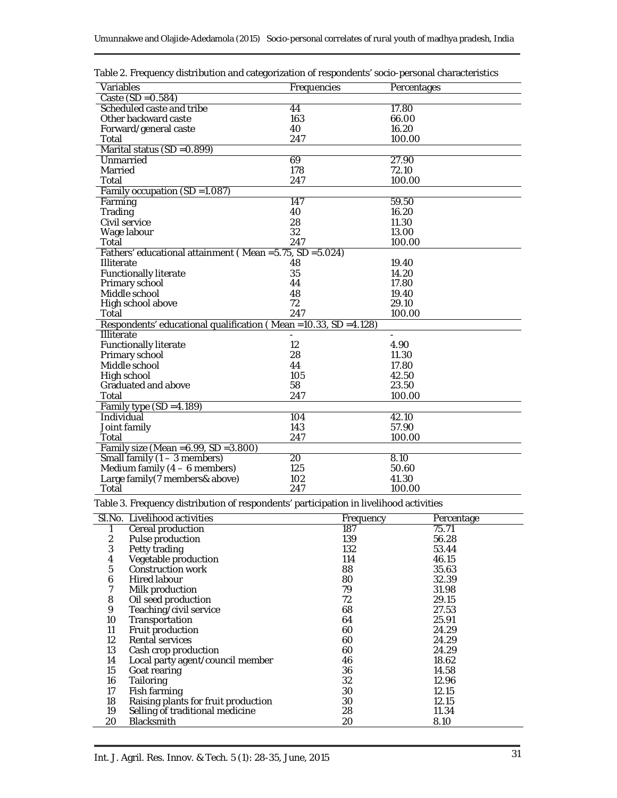| Variables                                                                              | Frequencies     |           | Percentages |  |  |  |
|----------------------------------------------------------------------------------------|-----------------|-----------|-------------|--|--|--|
| Caste $(SD = 0.584)$                                                                   |                 |           |             |  |  |  |
| Scheduled caste and tribe                                                              | 44              | 17.80     |             |  |  |  |
| Other backward caste                                                                   | 163             | 66.00     |             |  |  |  |
| Forward/general caste                                                                  | 40              | 16.20     |             |  |  |  |
| Total                                                                                  | 247             | 100.00    |             |  |  |  |
| Marital status (SD = 0.899)                                                            |                 |           |             |  |  |  |
| Unmarried                                                                              | 69              | 27.90     |             |  |  |  |
| Married                                                                                | 178             | 72.10     |             |  |  |  |
| Total                                                                                  | 247             | 100.00    |             |  |  |  |
| Family occupation (SD = 1.087)                                                         |                 |           |             |  |  |  |
| Farming                                                                                | 147             | 59.50     |             |  |  |  |
| Trading                                                                                | 40              | 16.20     |             |  |  |  |
| Civil service                                                                          | 28              | 11.30     |             |  |  |  |
| Wage labour                                                                            | 32              | 13.00     |             |  |  |  |
| Total                                                                                  | 247             | 100.00    |             |  |  |  |
| Fathers' educational attainment (Mean = 5.75, SD = 5.024)                              |                 |           |             |  |  |  |
| <b>Illiterate</b>                                                                      | 48              | 19.40     |             |  |  |  |
| <b>Functionally literate</b>                                                           | 35              | 14.20     |             |  |  |  |
| Primary school                                                                         | 44              | 17.80     |             |  |  |  |
| Middle school                                                                          | 48              | 19.40     |             |  |  |  |
| High school above                                                                      | 72              | 29.10     |             |  |  |  |
| Total                                                                                  | 247             | 100.00    |             |  |  |  |
| Respondents' educational qualification (Mean = 10.33, SD = 4.128)                      |                 |           |             |  |  |  |
| <b>Illiterate</b>                                                                      |                 |           |             |  |  |  |
| Functionally literate                                                                  | 12              | 4.90      |             |  |  |  |
| Primary school                                                                         | 28              | 11.30     |             |  |  |  |
| Middle school                                                                          | 44              | 17.80     |             |  |  |  |
| High school                                                                            | 105             | 42.50     |             |  |  |  |
| Graduated and above                                                                    | 58              | 23.50     |             |  |  |  |
| Total                                                                                  | 247             | 100.00    |             |  |  |  |
| Family type $(SD = 4.189)$                                                             |                 |           |             |  |  |  |
| Individual                                                                             | 104             | 42.10     |             |  |  |  |
| Joint family                                                                           | 143             | 57.90     |             |  |  |  |
| Total                                                                                  | 247             | 100.00    |             |  |  |  |
| Family size (Mean = 6.99, SD = 3.800)                                                  |                 |           |             |  |  |  |
| Small family (1 - 3 members)                                                           | $\overline{20}$ | 8.10      |             |  |  |  |
| Medium family $(4 - 6$ members)                                                        | 125             | 50.60     |             |  |  |  |
| Large family (7 members& above)                                                        | 102             | 41.30     |             |  |  |  |
| Total                                                                                  | 247             | 100.00    |             |  |  |  |
| Table 3. Frequency distribution of respondents' participation in livelihood activities |                 |           |             |  |  |  |
| SI.No. Livelihood activities                                                           |                 | Frequency | Percentage  |  |  |  |
| 1<br>Cereal production                                                                 |                 | 187       | 75.71       |  |  |  |
| $\overline{2}$<br>Pulse production                                                     |                 | 139       | 56.28       |  |  |  |
| 3<br>Petty trading                                                                     |                 | 132       | 53.44       |  |  |  |
| Vegetable production<br>4                                                              |                 | 114       | 46.15       |  |  |  |
| 5<br>Construction work                                                                 |                 | 88        | 35.63       |  |  |  |
|                                                                                        |                 |           |             |  |  |  |

| Table 2. Frequency distribution and categorization of respondents' socio-personal characteristics |
|---------------------------------------------------------------------------------------------------|
|---------------------------------------------------------------------------------------------------|

|                | SI. No. Livelihood activities       | Frequency | Percentage |
|----------------|-------------------------------------|-----------|------------|
|                | Cereal production                   | 187       | 75.71      |
| 2              | Pulse production                    | 139       | 56.28      |
| $\mathfrak{Z}$ | Petty trading                       | 132       | 53.44      |
| 4              | Vegetable production                | 114       | 46.15      |
| 5              | Construction work                   | 88        | 35.63      |
| 6              | Hired labour                        | 80        | 32.39      |
| 7              | Milk production                     | 79        | 31.98      |
| 8              | Oil seed production                 | 72        | 29.15      |
| 9              | Teaching/civil service              | 68        | 27.53      |
| 10             | Transportation                      | 64        | 25.91      |
| 11             | Fruit production                    | 60        | 24.29      |
| 12             | Rental services                     | 60        | 24.29      |
| 13             | Cash crop production                | 60        | 24.29      |
| 14             | Local party agent/council member    | 46        | 18.62      |
| 15             | Goat rearing                        | 36        | 14.58      |
| 16             | Tailoring                           | 32        | 12.96      |
| 17             | Fish farming                        | 30        | 12.15      |
| 18             | Raising plants for fruit production | 30        | 12.15      |
| 19             | Selling of traditional medicine     | 28        | 11.34      |
| 20             | <b>Blacksmith</b>                   | 20        | 8.10       |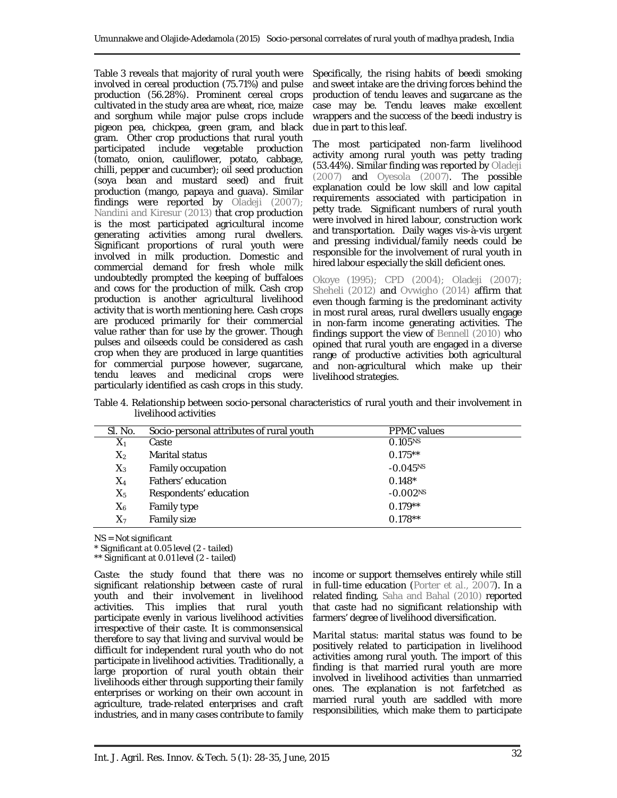Table 3 reveals that majority of rural youth were involved in cereal production (75.71%) and pulse production (56.28%). Prominent cereal crops cultivated in the study area are wheat, rice, maize and sorghum while major pulse crops include pigeon pea, chickpea, green gram, and black gram. Other crop productions that rural youth participated include vegetable production (tomato, onion, cauliflower, potato, cabbage, chilli, pepper and cucumber); oil seed production (soya bean and mustard seed) and fruit production (mango, papaya and guava). Similar findings were reported by Oladeji (2007); Nandini and Kiresur (2013) that crop production is the most participated agricultural income generating activities among rural dwellers. Significant proportions of rural youth were involved in milk production. Domestic and commercial demand for fresh whole milk undoubtedly prompted the keeping of buffaloes and cows for the production of milk. Cash crop production is another agricultural livelihood activity that is worth mentioning here. Cash crops are produced primarily for their commercial value rather than for use by the grower. Though pulses and oilseeds could be considered as cash crop when they are produced in large quantities for commercial purpose however, sugarcane, tendu leaves and medicinal crops were particularly identified as cash crops in this study.

Specifically, the rising habits of beedi smoking and sweet intake are the driving forces behind the production of tendu leaves and sugarcane as the case may be. Tendu leaves make excellent wrappers and the success of the beedi industry is due in part to this leaf.

The most participated non-farm livelihood activity among rural youth was petty trading (53.44%). Similar finding was reported by Oladeji (2007) and Oyesola (2007). The possible explanation could be low skill and low capital requirements associated with participation in petty trade. Significant numbers of rural youth were involved in hired labour, construction work and transportation. Daily wages vis-à-vis urgent and pressing individual/family needs could be responsible for the involvement of rural youth in hired labour especially the skill deficient ones.

Okoye (1995); CPD (2004); Oladeji (2007); Sheheli (2012) and Ovwigho (2014) affirm that even though farming is the predominant activity in most rural areas, rural dwellers usually engage in non-farm income generating activities. The findings support the view of Bennell (2010) who opined that rural youth are engaged in a diverse range of productive activities both agricultural and non-agricultural which make up their livelihood strategies.

Table 4. Relationship between socio-personal characteristics of rural youth and their involvement in livelihood activities

| SI. No. | Socio-personal attributes of rural youth | <b>PPMC</b> values  |
|---------|------------------------------------------|---------------------|
| $X_1$   | Caste                                    | 0.105 <sup>NS</sup> |
| $X_2$   | Marital status                           | $0.175**$           |
| $X_3$   | Family occupation                        | $-0.045NS$          |
| $X_4$   | Fathers' education                       | $0.148*$            |
| $X_5$   | Respondents' education                   | $-0.002NS$          |
| $X_6$   | Family type                              | $0.179**$           |
| $X_7$   | Family size                              | $0.178**$           |

*NS = Not significant*

*\* Significant at 0.05 level (2 - tailed)*

*\*\* Significant at 0.01 level (2 - tailed)*

*Caste:* the study found that there was no significant relationship between caste of rural youth and their involvement in livelihood activities. This implies that rural youth participate evenly in various livelihood activities irrespective of their caste. It is commonsensical therefore to say that living and survival would be difficult for independent rural youth who do not participate in livelihood activities. Traditionally, a large proportion of rural youth obtain their livelihoods either through supporting their family enterprises or working on their own account in agriculture, trade-related enterprises and craft industries, and in many cases contribute to family

income or support themselves entirely while still in full-time education (Porter *et al.*, 2007). In a related finding, Saha and Bahal (2010) reported that caste had no significant relationship with farmers' degree of livelihood diversification.

*Marital status:* marital status was found to be positively related to participation in livelihood activities among rural youth. The import of this finding is that married rural youth are more involved in livelihood activities than unmarried ones. The explanation is not farfetched as married rural youth are saddled with more responsibilities, which make them to participate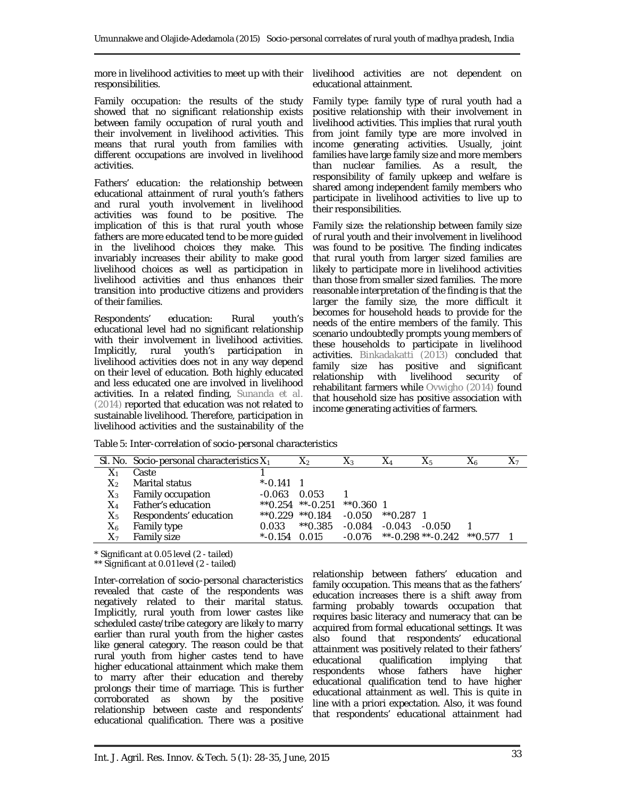more in livelihood activities to meet up with their responsibilities.

*Family occupation:* the results of the study showed that no significant relationship exists between family occupation of rural youth and their involvement in livelihood activities. This means that rural youth from families with different occupations are involved in livelihood activities.

*Fathers' education:* the relationship between educational attainment of rural youth's fathers and rural youth involvement in livelihood activities was found to be positive. The implication of this is that rural youth whose fathers are more educated tend to be more guided in the livelihood choices they make. This invariably increases their ability to make good livelihood choices as well as participation in livelihood activities and thus enhances their transition into productive citizens and providers of their families.

*Respondents' education:* Rural youth's educational level had no significant relationship with their involvement in livelihood activities. Implicitly, rural youth's participation in livelihood activities does not in any way depend on their level of education. Both highly educated and less educated one are involved in livelihood activities. In a related finding, Sunanda *et al.* (2014) reported that education was not related to sustainable livelihood. Therefore, participation in livelihood activities and the sustainability of the

livelihood activities are not dependent on educational attainment.

*Family type:* family type of rural youth had a positive relationship with their involvement in livelihood activities. This implies that rural youth from joint family type are more involved in income generating activities. Usually, joint families have large family size and more members than nuclear families. As a result, the responsibility of family upkeep and welfare is shared among independent family members who participate in livelihood activities to live up to their responsibilities.

*Family size:* the relationship between family size of rural youth and their involvement in livelihood was found to be positive. The finding indicates that rural youth from larger sized families are likely to participate more in livelihood activities than those from smaller sized families. The more reasonable interpretation of the finding is that the larger the family size, the more difficult it becomes for household heads to provide for the needs of the entire members of the family. This scenario undoubtedly prompts young members of these households to participate in livelihood activities. Binkadakatti (2013) concluded that family size has positive and significant<br>relationship with livelihood security of relationship with livelihood security of rehabilitant farmers while Ovwigho (2014) found that household size has positive association with income generating activities of farmers.

| Table 5: Inter-correlation of socio-personal characteristics |  |  |
|--------------------------------------------------------------|--|--|
|                                                              |  |  |
|                                                              |  |  |

|         | SI. No. Socio-personal characteristics $X_1$ |            | X2                   | $X_3$       | X4          | $X_5$                | X6        | $X_7$ |
|---------|----------------------------------------------|------------|----------------------|-------------|-------------|----------------------|-----------|-------|
| $X_1$   | Caste                                        |            |                      |             |             |                      |           |       |
| $X_{2}$ | Marital status                               | $*$ -0.141 |                      |             |             |                      |           |       |
| $X_3$   | Family occupation                            | $-0.063$   | 0.053                |             |             |                      |           |       |
| X4      | Father's education                           |            | $*$ 0.254 $*$ -0.251 | $*$ 0.360 1 |             |                      |           |       |
| $X_5$   | Respondents' education                       |            | $*$ 0.229 $*$ 0.184  | $-0.050$    | $*$ 0.287 1 |                      |           |       |
| X6      | Family type                                  | 0.033      | $*$ 0.385            | $-0.084$    | $-0.043$    | -0.050               |           |       |
| X7      | Family size                                  | $*$ -0.154 | 0.015                | -0.076      |             | $**$ -0.298 **-0.242 | $*$ 0.577 |       |

*\* Significant at 0.05 level (2 - tailed)*

*\*\* Significant at 0.01 level (2 - tailed)*

Inter-correlation of socio-personal characteristics revealed that caste of the respondents was negatively related to their marital status. Implicitly, rural youth from lower castes like scheduled caste/tribe category are likely to marry earlier than rural youth from the higher castes like general category. The reason could be that rural youth from higher castes tend to have higher educational attainment which make them to marry after their education and thereby prolongs their time of marriage. This is further corroborated as shown by the positive relationship between caste and respondents' educational qualification. There was a positive

relationship between fathers' education and family occupation. This means that as the fathers' education increases there is a shift away from farming probably towards occupation that requires basic literacy and numeracy that can be acquired from formal educational settings. It was also found that respondents' educational attainment was positively related to their fathers' educational qualification implying that<br>respondents whose fathers have higher whose fathers have higher educational qualification tend to have higher educational attainment as well. This is quite in line with a priori expectation. Also, it was found that respondents' educational attainment had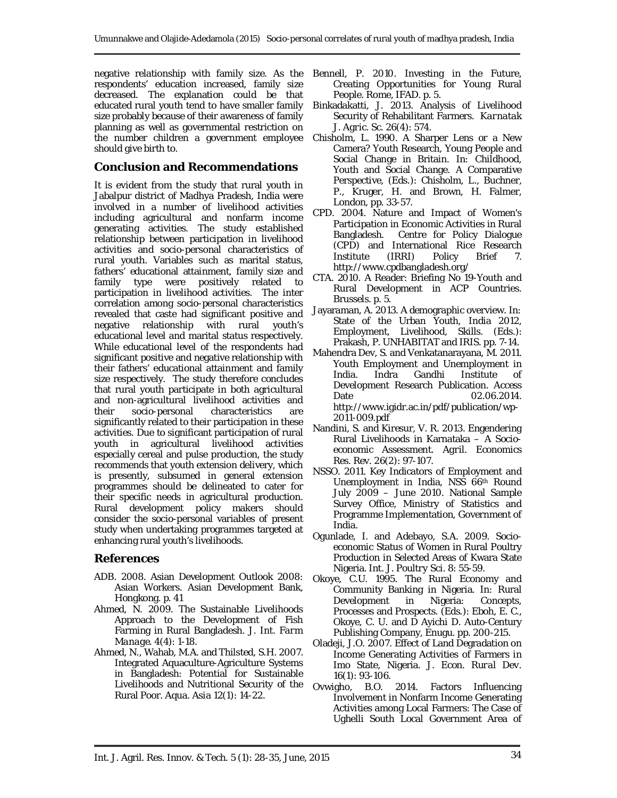negative relationship with family size. As the respondents' education increased, family size decreased. The explanation could be that educated rural youth tend to have smaller family size probably because of their awareness of family planning as well as governmental restriction on the number children a government employee should give birth to.

### **Conclusion and Recommendations**

It is evident from the study that rural youth in Jabalpur district of Madhya Pradesh, India were involved in a number of livelihood activities including agricultural and nonfarm income generating activities. The study established relationship between participation in livelihood activities and socio-personal characteristics of rural youth. Variables such as marital status, fathers' educational attainment, family size and family type were positively related to participation in livelihood activities. The inter correlation among socio-personal characteristics revealed that caste had significant positive and negative relationship with rural youth's educational level and marital status respectively. While educational level of the respondents had significant positive and negative relationship with their fathers' educational attainment and family size respectively. The study therefore concludes that rural youth participate in both agricultural and non-agricultural livelihood activities and their socio-personal characteristics are significantly related to their participation in these activities. Due to significant participation of rural youth in agricultural livelihood activities especially cereal and pulse production, the study recommends that youth extension delivery, which is presently, subsumed in general extension programmes should be delineated to cater for their specific needs in agricultural production. Rural development policy makers should consider the socio-personal variables of present study when undertaking programmes targeted at enhancing rural youth's livelihoods.

### **References**

- ADB. 2008. Asian Development Outlook 2008: Asian Workers. Asian Development Bank, Hongkong. p. 41
- Ahmed, N. 2009. The Sustainable Livelihoods Approach to the Development of Fish Farming in Rural Bangladesh. *J. Int. Farm Manage.* 4(4): 1-18.
- Ahmed, N., Wahab, M.A. and Thilsted, S.H. 2007. Integrated Aquaculture-Agriculture Systems in Bangladesh: Potential for Sustainable Livelihoods and Nutritional Security of the Rural Poor. *Aqua. Asia* 12(1): 14-22.
- Bennell, P. 2010. Investing in the Future, Creating Opportunities for Young Rural People. Rome, IFAD. p. 5.
- Binkadakatti, J. 2013. Analysis of Livelihood Security of Rehabilitant Farmers. *Karnatak J. Agric. Sc.* 26(4): 574.
- Chisholm, L. 1990. A Sharper Lens or a New Camera? Youth Research, Young People and Social Change in Britain. *In:* Childhood, Youth and Social Change. A Comparative Perspective, (Eds.): Chisholm, L., Buchner, P., Kruger, H. and Brown, H. Falmer, London, pp. 33-57.
- CPD. 2004. Nature and Impact of Women's Participation in Economic Activities in Rural Bangladesh. Centre for Policy Dialogue (CPD) and International Rice Research Institute (IRRI) Policy Brief 7. http://www.cpdbangladesh.org/
- CTA. 2010. A Reader: Briefing No 19-Youth and Rural Development in ACP Countries. Brussels. p. 5.
- Jayaraman, A. 2013. A demographic overview. *In:* State of the Urban Youth, India 2012, Employment, Livelihood, Skills. (Eds.): Prakash, P. UNHABITAT and IRIS. pp. 7-14.
- Mahendra Dev, S. and Venkatanarayana, M. 2011. Youth Employment and Unemployment in India. Indra Gandhi Institute of Development Research Publication. Access Date 02.06.2014. http://www.igidr.ac.in/pdf/publication/wp-2011-009.pdf
- Nandini, S. and Kiresur, V. R. 2013. Engendering Rural Livelihoods in Karnataka – A Socioeconomic Assessment. *Agril. Economics Res. Rev.* 26(2): 97-107.
- NSSO. 2011. Key Indicators of Employment and Unemployment in India, NSS 66th Round July 2009 – June 2010. National Sample Survey Office, Ministry of Statistics and Programme Implementation, Government of India.
- Ogunlade, I. and Adebayo, S.A. 2009. Socioeconomic Status of Women in Rural Poultry Production in Selected Areas of Kwara State Nigeria. *Int. J. Poultry Sci*. 8: 55-59.
- Okoye, C.U. 1995. The Rural Economy and Community Banking in Nigeria. *In:* Rural Development in Nigeria: Concepts, Processes and Prospects. (Eds.): Eboh, E. C., Okoye, C. U. and D Ayichi D. Auto-Century Publishing Company, Enugu. pp. 200-215.
- Oladeji, J.O. 2007. Effect of Land Degradation on Income Generating Activities of Farmers in Imo State, Nigeria. *J. Econ. Rural Dev.* 16(1): 93-106.
- Ovwigho, B.O. 2014. Factors Influencing Involvement in Nonfarm Income Generating Activities among Local Farmers: The Case of Ughelli South Local Government Area of